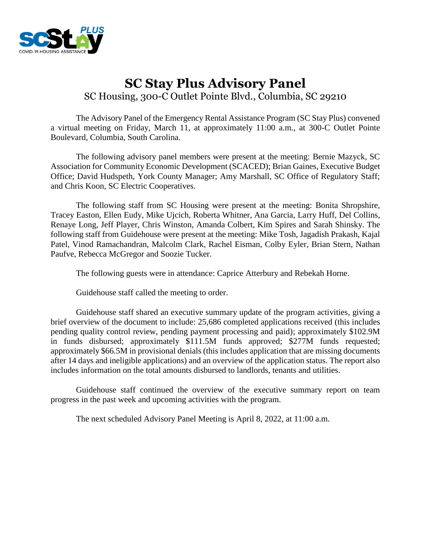

# **SC Stay Plus Advisory Panel** SC Housing, 300-C Outlet Pointe Blvd., Columbia, SC 29210

The Advisory Panel of the Emergency Rental Assistance Program (SC Stay Plus) convened a virtual meeting on Friday, March 11, at approximately 11:00 a.m., at 300-C Outlet Pointe Boulevard, Columbia, South Carolina.

The following advisory panel members were present at the meeting: Bernie Mazyck, SC Association for Community Economic Development (SCACED); Brian Gaines, Executive Budget Office; David Hudspeth, York County Manager; Amy Marshall, SC Office of Regulatory Staff; and Chris Koon, SC Electric Cooperatives.

The following staff from SC Housing were present at the meeting: Bonita Shropshire, Tracey Easton, Ellen Eudy, Mike Ujcich, Roberta Whitner, Ana Garcia, Larry Huff, Del Collins, Renaye Long, Jeff Player, Chris Winston, Amanda Colbert, Kim Spires and Sarah Shinsky. The following staff from Guidehouse were present at the meeting: Mike Tosh, Jagadish Prakash, Kajal Patel, Vinod Ramachandran, Malcolm Clark, Rachel Eisman, Colby Eyler, Brian Stern, Nathan Paufve, Rebecca McGregor and Soozie Tucker.

The following guests were in attendance: Caprice Atterbury and Rebekah Horne.

Guidehouse staff called the meeting to order.

Guidehouse staff shared an executive summary update of the program activities, giving a brief overview of the document to include: 25,686 completed applications received (this includes pending quality control review, pending payment processing and paid); approximately \$102.9M in funds disbursed; approximately \$111.5M funds approved; \$277M funds requested; approximately \$66.5M in provisional denials (this includes application that are missing documents after 14 days and ineligible applications) and an overview of the application status. The report also includes information on the total amounts disbursed to landlords, tenants and utilities.

Guidehouse staff continued the overview of the executive summary report on team progress in the past week and upcoming activities with the program.

The next scheduled Advisory Panel Meeting is April 8, 2022, at 11:00 a.m.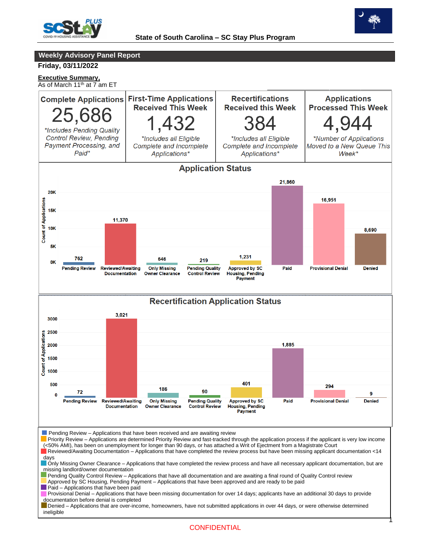



**Weekly Advisory Panel Report**

#### **Friday, 03/11/2022**

## **Executive Summary,**

As of March 11<sup>th</sup> at 7 am ET

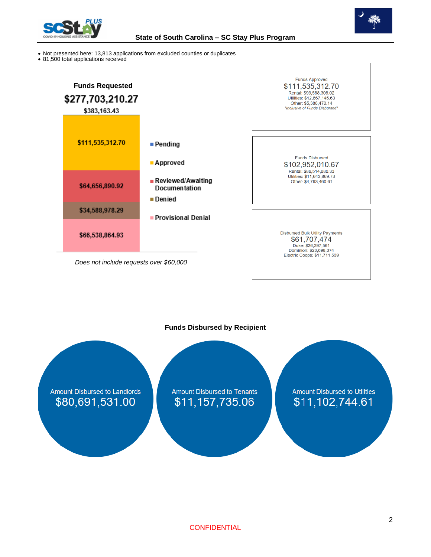



- Not presented here: 13,813 applications from excluded counties or duplicates
- 81,500 total applications received



## **Funds Disbursed by Recipient**

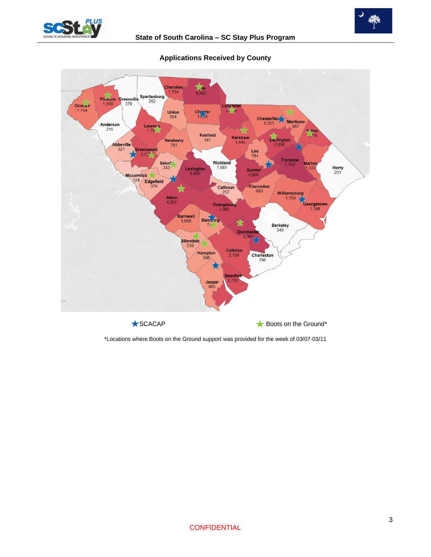





## **Applications Received by County**

\*Locations where Boots on the Ground support was provided for the week of 03/07-03/11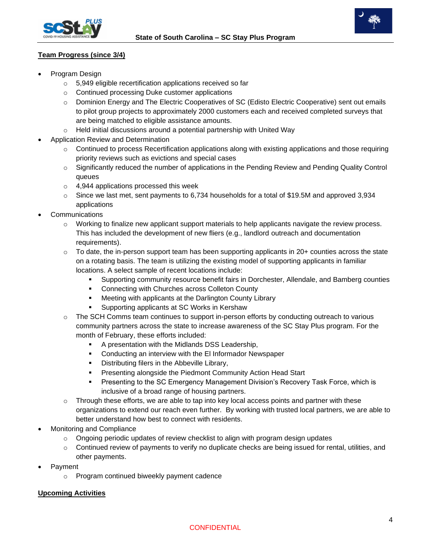

## **Team Progress (since 3/4)**

- Program Design
	- o 5,949 eligible recertification applications received so far
	- o Continued processing Duke customer applications
	- o Dominion Energy and The Electric Cooperatives of SC (Edisto Electric Cooperative) sent out emails to pilot group projects to approximately 2000 customers each and received completed surveys that are being matched to eligible assistance amounts.
	- $\circ$  Held initial discussions around a potential partnership with United Way
- Application Review and Determination
	- o Continued to process Recertification applications along with existing applications and those requiring priority reviews such as evictions and special cases
	- $\circ$  Significantly reduced the number of applications in the Pending Review and Pending Quality Control queues
	- o 4,944 applications processed this week
	- $\circ$  Since we last met, sent payments to 6,734 households for a total of \$19.5M and approved 3,934 applications
- **Communications** 
	- o Working to finalize new applicant support materials to help applicants navigate the review process. This has included the development of new fliers (e.g., landlord outreach and documentation requirements).
	- $\circ$  To date, the in-person support team has been supporting applicants in 20+ counties across the state on a rotating basis. The team is utilizing the existing model of supporting applicants in familiar locations. A select sample of recent locations include:
		- Supporting community resource benefit fairs in Dorchester, Allendale, and Bamberg counties
		- Connecting with Churches across Colleton County
		- Meeting with applicants at the Darlington County Library
		- Supporting applicants at SC Works in Kershaw
	- o The SCH Comms team continues to support in-person efforts by conducting outreach to various community partners across the state to increase awareness of the SC Stay Plus program. For the month of February, these efforts included:
		- A presentation with the Midlands DSS Leadership,
		- Conducting an interview with the El Informador Newspaper
		- **•** Distributing filers in the Abbeville Library,
		- **Presenting alongside the Piedmont Community Action Head Start**
		- **Presenting to the SC Emergency Management Division's Recovery Task Force, which is** inclusive of a broad range of housing partners.
	- $\circ$  Through these efforts, we are able to tap into key local access points and partner with these organizations to extend our reach even further. By working with trusted local partners, we are able to better understand how best to connect with residents.
- Monitoring and Compliance
	- $\circ$  Ongoing periodic updates of review checklist to align with program design updates
	- $\circ$  Continued review of payments to verify no duplicate checks are being issued for rental, utilities, and other payments.
- Payment
	- o Program continued biweekly payment cadence

## **Upcoming Activities**